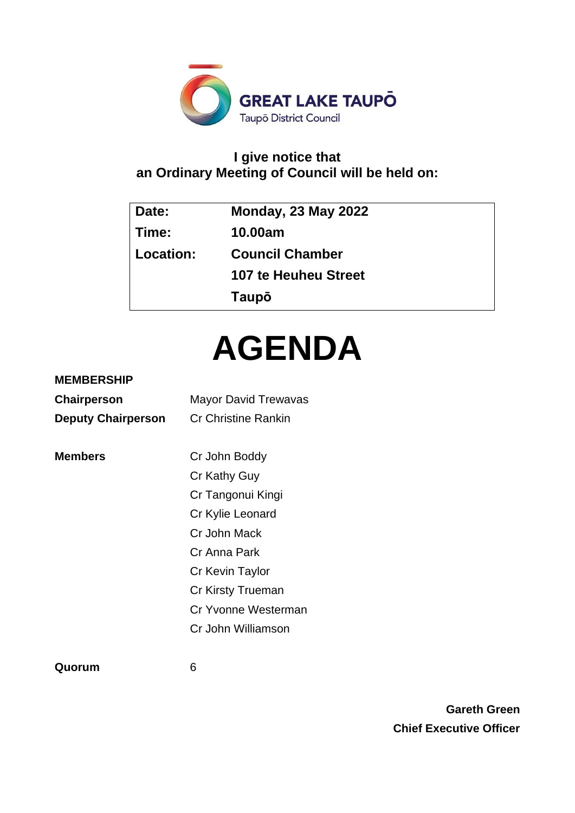

# **I give notice that an Ordinary Meeting of Council will be held on:**

| Date:     | <b>Monday, 23 May 2022</b> |
|-----------|----------------------------|
| Time:     | 10.00am                    |
| Location: | <b>Council Chamber</b>     |
|           | 107 te Heuheu Street       |
|           | Taupō                      |

# **AGENDA**

# **MEMBERSHIP**

| <b>Chairperson</b>        | <b>Mayor David Trewavas</b> |
|---------------------------|-----------------------------|
| <b>Deputy Chairperson</b> | Cr Christine Rankin         |
|                           |                             |
| <b>Members</b>            | Cr John Boddy               |
|                           | Cr Kathy Guy                |
|                           | Cr Tangonui Kingi           |
|                           | Cr Kylie Leonard            |
|                           | Cr John Mack                |
|                           | Cr Anna Park                |
|                           | Cr Kevin Taylor             |
|                           | Cr Kirsty Trueman           |
|                           | Cr Yvonne Westerman         |
|                           | Cr John Williamson          |
|                           |                             |

**Quorum** 6

**Gareth Green Chief Executive Officer**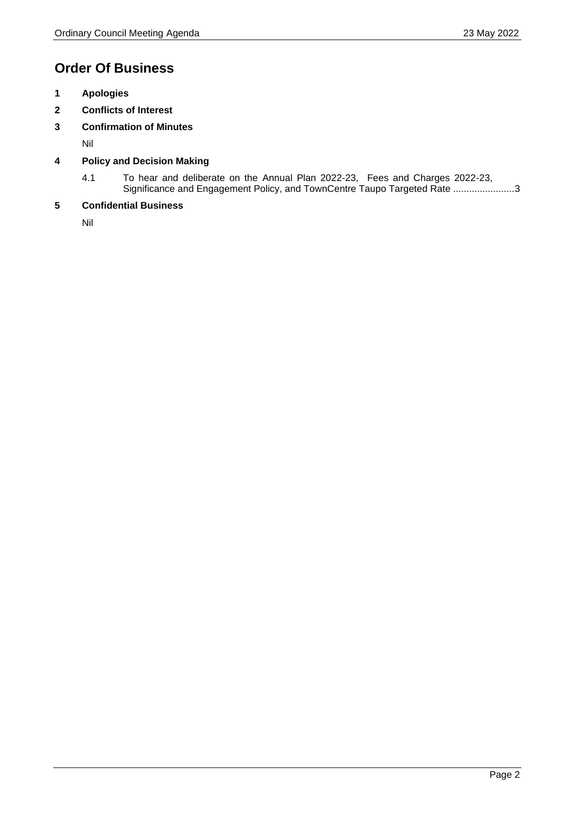# **Order Of Business**

- **1 Apologies**
- **2 Conflicts of Interest**
- **3 Confirmation of Minutes**

Nil

- **4 Policy and Decision Making**
	- 4.1 To hear and deliberate on the Annual Plan 2022-23, Fees and Charges 2022-23, Significance and Engagement Policy, and TownCentre Taupo Targeted Rate ..........................[.3](#page-2-0)

# **5 Confidential Business**

Nil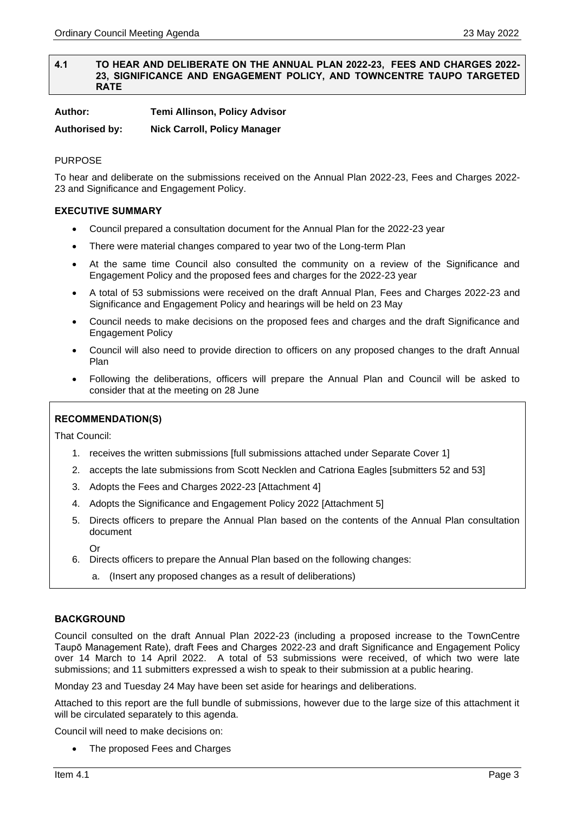#### <span id="page-2-0"></span>**4.1 TO HEAR AND DELIBERATE ON THE ANNUAL PLAN 2022-23, FEES AND CHARGES 2022- 23, SIGNIFICANCE AND ENGAGEMENT POLICY, AND TOWNCENTRE TAUPO TARGETED RATE**

**Author: Temi Allinson, Policy Advisor**

**Authorised by: Nick Carroll, Policy Manager**

#### PURPOSE

To hear and deliberate on the submissions received on the Annual Plan 2022-23, Fees and Charges 2022- 23 and Significance and Engagement Policy.

#### **EXECUTIVE SUMMARY**

- Council prepared a consultation document for the Annual Plan for the 2022-23 year
- There were material changes compared to year two of the Long-term Plan
- At the same time Council also consulted the community on a review of the Significance and Engagement Policy and the proposed fees and charges for the 2022-23 year
- A total of 53 submissions were received on the draft Annual Plan, Fees and Charges 2022-23 and Significance and Engagement Policy and hearings will be held on 23 May
- Council needs to make decisions on the proposed fees and charges and the draft Significance and Engagement Policy
- Council will also need to provide direction to officers on any proposed changes to the draft Annual Plan
- Following the deliberations, officers will prepare the Annual Plan and Council will be asked to consider that at the meeting on 28 June

### **RECOMMENDATION(S)**

That Council:

- 1. receives the written submissions [full submissions attached under Separate Cover 1]
- 2. accepts the late submissions from Scott Necklen and Catriona Eagles [submitters 52 and 53]
- 3. Adopts the Fees and Charges 2022-23 [Attachment 4]
- 4. Adopts the Significance and Engagement Policy 2022 [Attachment 5]
- 5. Directs officers to prepare the Annual Plan based on the contents of the Annual Plan consultation document
	- Or
- 6. Directs officers to prepare the Annual Plan based on the following changes:
	- a. (Insert any proposed changes as a result of deliberations)

#### **BACKGROUND**

Council consulted on the draft Annual Plan 2022-23 (including a proposed increase to the TownCentre Taupō Management Rate), draft Fees and Charges 2022-23 and draft Significance and Engagement Policy over 14 March to 14 April 2022. A total of 53 submissions were received, of which two were late submissions; and 11 submitters expressed a wish to speak to their submission at a public hearing.

Monday 23 and Tuesday 24 May have been set aside for hearings and deliberations.

Attached to this report are the full bundle of submissions, however due to the large size of this attachment it will be circulated separately to this agenda.

Council will need to make decisions on:

• The proposed Fees and Charges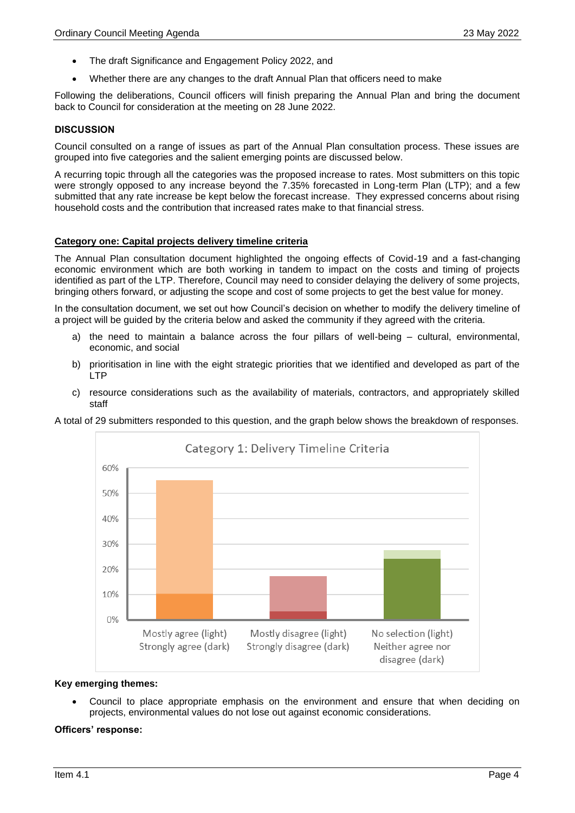- The draft Significance and Engagement Policy 2022, and
- Whether there are any changes to the draft Annual Plan that officers need to make

Following the deliberations, Council officers will finish preparing the Annual Plan and bring the document back to Council for consideration at the meeting on 28 June 2022.

#### **DISCUSSION**

Council consulted on a range of issues as part of the Annual Plan consultation process. These issues are grouped into five categories and the salient emerging points are discussed below.

A recurring topic through all the categories was the proposed increase to rates. Most submitters on this topic were strongly opposed to any increase beyond the 7.35% forecasted in Long-term Plan (LTP); and a few submitted that any rate increase be kept below the forecast increase. They expressed concerns about rising household costs and the contribution that increased rates make to that financial stress.

#### **Category one: Capital projects delivery timeline criteria**

The Annual Plan consultation document highlighted the ongoing effects of Covid-19 and a fast-changing economic environment which are both working in tandem to impact on the costs and timing of projects identified as part of the LTP. Therefore, Council may need to consider delaying the delivery of some projects, bringing others forward, or adjusting the scope and cost of some projects to get the best value for money.

In the consultation document, we set out how Council's decision on whether to modify the delivery timeline of a project will be guided by the criteria below and asked the community if they agreed with the criteria.

- a) the need to maintain a balance across the four pillars of well-being cultural, environmental, economic, and social
- b) prioritisation in line with the eight strategic priorities that we identified and developed as part of the LTP
- c) resource considerations such as the availability of materials, contractors, and appropriately skilled staff

A total of 29 submitters responded to this question, and the graph below shows the breakdown of responses.



#### **Key emerging themes:**

• Council to place appropriate emphasis on the environment and ensure that when deciding on projects, environmental values do not lose out against economic considerations.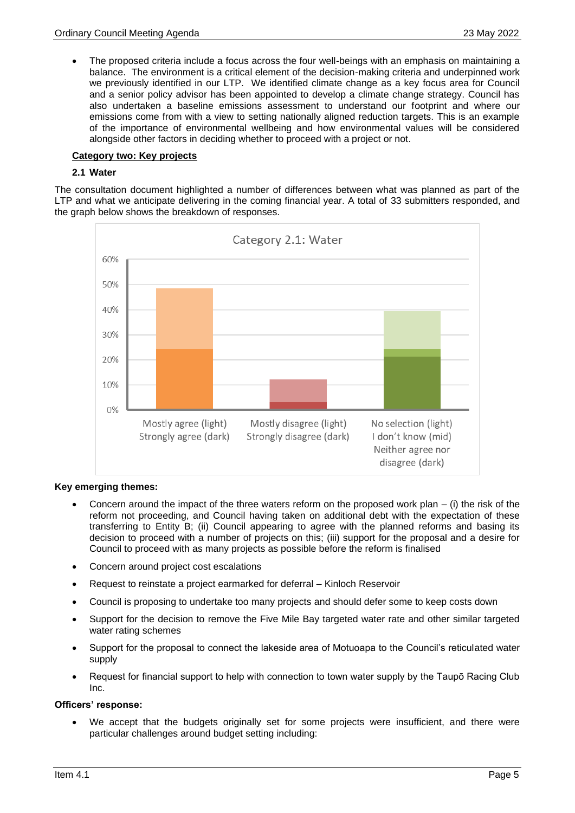• The proposed criteria include a focus across the four well-beings with an emphasis on maintaining a balance. The environment is a critical element of the decision-making criteria and underpinned work we previously identified in our LTP. We identified climate change as a key focus area for Council and a senior policy advisor has been appointed to develop a climate change strategy. Council has also undertaken a baseline emissions assessment to understand our footprint and where our emissions come from with a view to setting nationally aligned reduction targets. This is an example of the importance of environmental wellbeing and how environmental values will be considered alongside other factors in deciding whether to proceed with a project or not.

#### **Category two: Key projects**

#### **2.1 Water**

The consultation document highlighted a number of differences between what was planned as part of the LTP and what we anticipate delivering in the coming financial year. A total of 33 submitters responded, and the graph below shows the breakdown of responses.



### **Key emerging themes:**

- Concern around the impact of the three waters reform on the proposed work plan (i) the risk of the reform not proceeding, and Council having taken on additional debt with the expectation of these transferring to Entity B; (ii) Council appearing to agree with the planned reforms and basing its decision to proceed with a number of projects on this; (iii) support for the proposal and a desire for Council to proceed with as many projects as possible before the reform is finalised
- Concern around project cost escalations
- Request to reinstate a project earmarked for deferral Kinloch Reservoir
- Council is proposing to undertake too many projects and should defer some to keep costs down
- Support for the decision to remove the Five Mile Bay targeted water rate and other similar targeted water rating schemes
- Support for the proposal to connect the lakeside area of Motuoapa to the Council's reticulated water supply
- Request for financial support to help with connection to town water supply by the Taupō Racing Club Inc.

#### **Officers' response:**

We accept that the budgets originally set for some projects were insufficient, and there were particular challenges around budget setting including: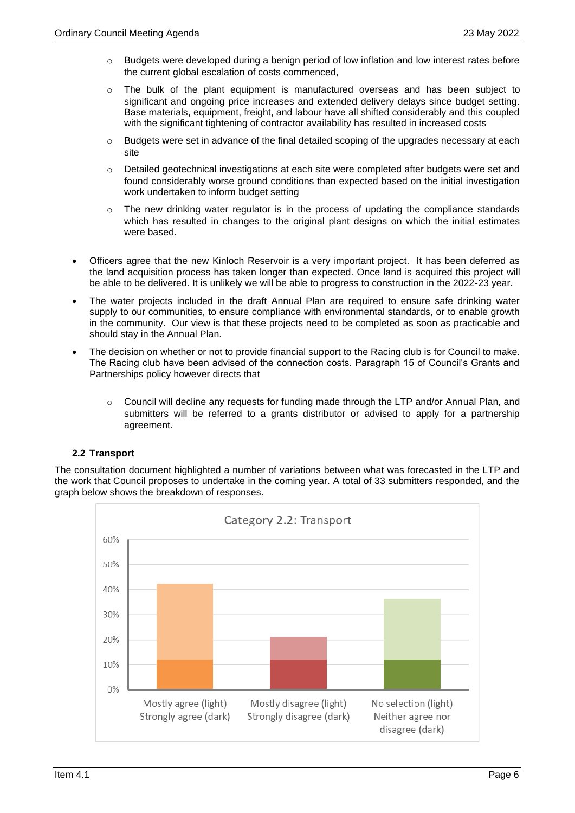- $\circ$  Budgets were developed during a benign period of low inflation and low interest rates before the current global escalation of costs commenced,
- o The bulk of the plant equipment is manufactured overseas and has been subject to significant and ongoing price increases and extended delivery delays since budget setting. Base materials, equipment, freight, and labour have all shifted considerably and this coupled with the significant tightening of contractor availability has resulted in increased costs
- $\circ$  Budgets were set in advance of the final detailed scoping of the upgrades necessary at each site
- o Detailed geotechnical investigations at each site were completed after budgets were set and found considerably worse ground conditions than expected based on the initial investigation work undertaken to inform budget setting
- $\circ$  The new drinking water regulator is in the process of updating the compliance standards which has resulted in changes to the original plant designs on which the initial estimates were based.
- Officers agree that the new Kinloch Reservoir is a very important project. It has been deferred as the land acquisition process has taken longer than expected. Once land is acquired this project will be able to be delivered. It is unlikely we will be able to progress to construction in the 2022-23 year.
- The water projects included in the draft Annual Plan are required to ensure safe drinking water supply to our communities, to ensure compliance with environmental standards, or to enable growth in the community. Our view is that these projects need to be completed as soon as practicable and should stay in the Annual Plan.
- The decision on whether or not to provide financial support to the Racing club is for Council to make. The Racing club have been advised of the connection costs. Paragraph 15 of Council's Grants and Partnerships policy however directs that
	- $\circ$  Council will decline any requests for funding made through the LTP and/or Annual Plan, and submitters will be referred to a grants distributor or advised to apply for a partnership agreement.

# **2.2 Transport**

The consultation document highlighted a number of variations between what was forecasted in the LTP and the work that Council proposes to undertake in the coming year. A total of 33 submitters responded, and the graph below shows the breakdown of responses.

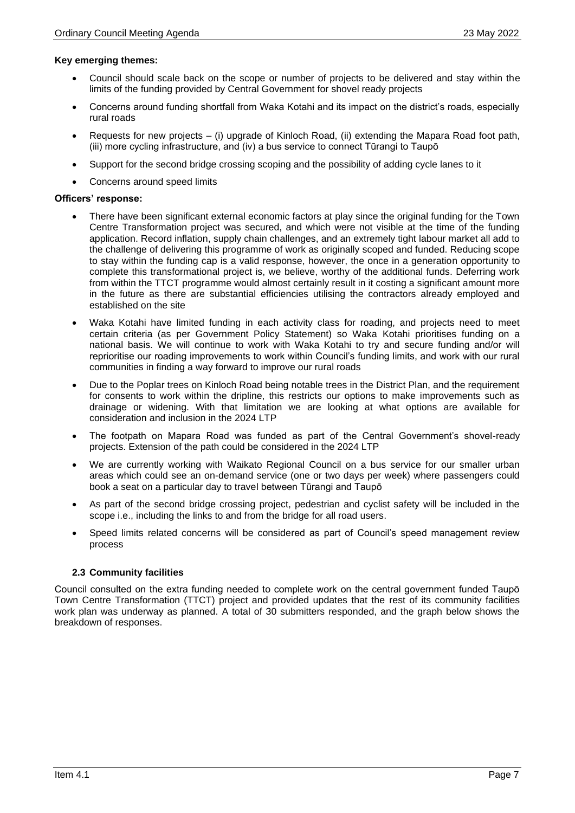- Council should scale back on the scope or number of projects to be delivered and stay within the limits of the funding provided by Central Government for shovel ready projects
- Concerns around funding shortfall from Waka Kotahi and its impact on the district's roads, especially rural roads
- Requests for new projects (i) upgrade of Kinloch Road, (ii) extending the Mapara Road foot path, (iii) more cycling infrastructure, and (iv) a bus service to connect Tūrangi to Taupō
- Support for the second bridge crossing scoping and the possibility of adding cycle lanes to it
- Concerns around speed limits

#### **Officers' response:**

- There have been significant external economic factors at play since the original funding for the Town Centre Transformation project was secured, and which were not visible at the time of the funding application. Record inflation, supply chain challenges, and an extremely tight labour market all add to the challenge of delivering this programme of work as originally scoped and funded. Reducing scope to stay within the funding cap is a valid response, however, the once in a generation opportunity to complete this transformational project is, we believe, worthy of the additional funds. Deferring work from within the TTCT programme would almost certainly result in it costing a significant amount more in the future as there are substantial efficiencies utilising the contractors already employed and established on the site
- Waka Kotahi have limited funding in each activity class for roading, and projects need to meet certain criteria (as per Government Policy Statement) so Waka Kotahi prioritises funding on a national basis. We will continue to work with Waka Kotahi to try and secure funding and/or will reprioritise our roading improvements to work within Council's funding limits, and work with our rural communities in finding a way forward to improve our rural roads
- Due to the Poplar trees on Kinloch Road being notable trees in the District Plan, and the requirement for consents to work within the dripline, this restricts our options to make improvements such as drainage or widening. With that limitation we are looking at what options are available for consideration and inclusion in the 2024 LTP
- The footpath on Mapara Road was funded as part of the Central Government's shovel-ready projects. Extension of the path could be considered in the 2024 LTP
- We are currently working with Waikato Regional Council on a bus service for our smaller urban areas which could see an on-demand service (one or two days per week) where passengers could book a seat on a particular day to travel between Tūrangi and Taupō
- As part of the second bridge crossing project, pedestrian and cyclist safety will be included in the scope i.e., including the links to and from the bridge for all road users.
- Speed limits related concerns will be considered as part of Council's speed management review process

### **2.3 Community facilities**

Council consulted on the extra funding needed to complete work on the central government funded Taupō Town Centre Transformation (TTCT) project and provided updates that the rest of its community facilities work plan was underway as planned. A total of 30 submitters responded, and the graph below shows the breakdown of responses.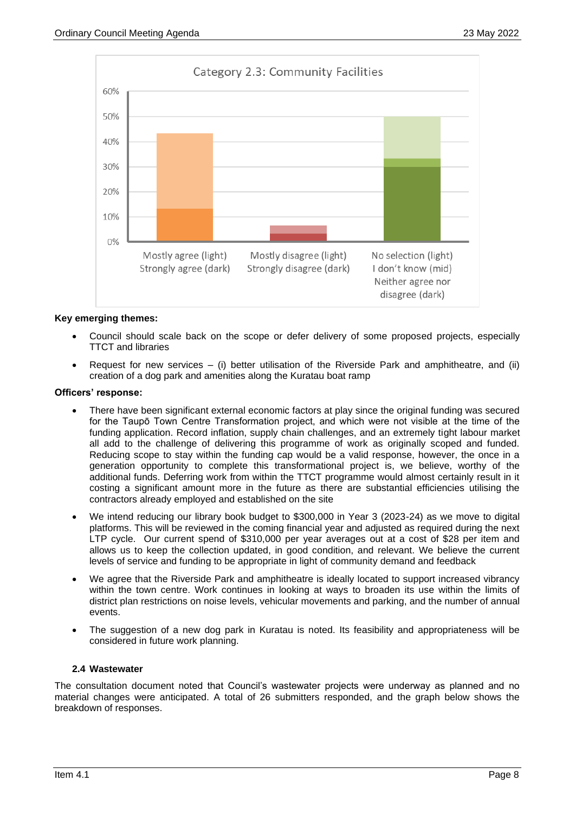

- Council should scale back on the scope or defer delivery of some proposed projects, especially TTCT and libraries
- Request for new services (i) better utilisation of the Riverside Park and amphitheatre, and (ii) creation of a dog park and amenities along the Kuratau boat ramp

#### **Officers' response:**

- There have been significant external economic factors at play since the original funding was secured for the Taupō Town Centre Transformation project, and which were not visible at the time of the funding application. Record inflation, supply chain challenges, and an extremely tight labour market all add to the challenge of delivering this programme of work as originally scoped and funded. Reducing scope to stay within the funding cap would be a valid response, however, the once in a generation opportunity to complete this transformational project is, we believe, worthy of the additional funds. Deferring work from within the TTCT programme would almost certainly result in it costing a significant amount more in the future as there are substantial efficiencies utilising the contractors already employed and established on the site
- We intend reducing our library book budget to \$300,000 in Year 3 (2023-24) as we move to digital platforms. This will be reviewed in the coming financial year and adjusted as required during the next LTP cycle. Our current spend of \$310,000 per year averages out at a cost of \$28 per item and allows us to keep the collection updated, in good condition, and relevant. We believe the current levels of service and funding to be appropriate in light of community demand and feedback
- We agree that the Riverside Park and amphitheatre is ideally located to support increased vibrancy within the town centre. Work continues in looking at ways to broaden its use within the limits of district plan restrictions on noise levels, vehicular movements and parking, and the number of annual events.
- The suggestion of a new dog park in Kuratau is noted. Its feasibility and appropriateness will be considered in future work planning.

#### **2.4 Wastewater**

The consultation document noted that Council's wastewater projects were underway as planned and no material changes were anticipated. A total of 26 submitters responded, and the graph below shows the breakdown of responses.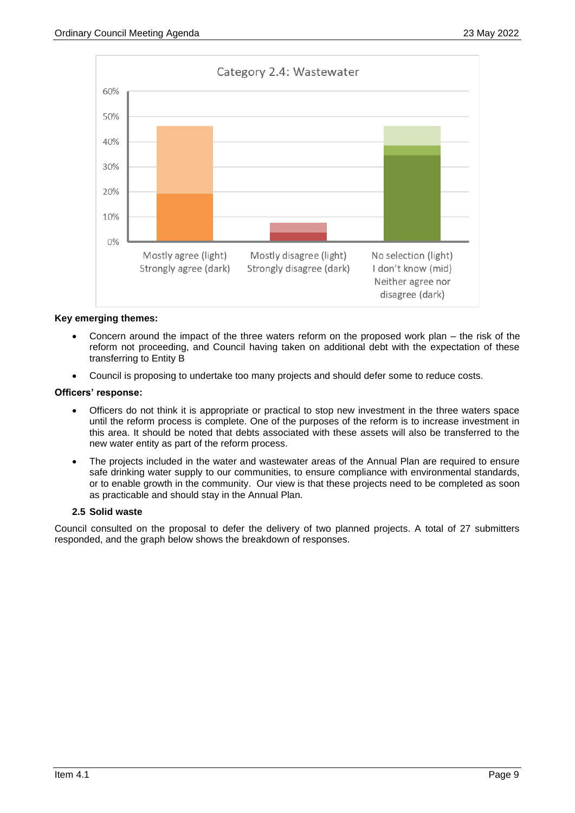

- Concern around the impact of the three waters reform on the proposed work plan the risk of the reform not proceeding, and Council having taken on additional debt with the expectation of these transferring to Entity B
- Council is proposing to undertake too many projects and should defer some to reduce costs.

#### **Officers' response:**

- Officers do not think it is appropriate or practical to stop new investment in the three waters space until the reform process is complete. One of the purposes of the reform is to increase investment in this area. It should be noted that debts associated with these assets will also be transferred to the new water entity as part of the reform process.
- The projects included in the water and wastewater areas of the Annual Plan are required to ensure safe drinking water supply to our communities, to ensure compliance with environmental standards, or to enable growth in the community. Our view is that these projects need to be completed as soon as practicable and should stay in the Annual Plan.

### **2.5 Solid waste**

Council consulted on the proposal to defer the delivery of two planned projects. A total of 27 submitters responded, and the graph below shows the breakdown of responses.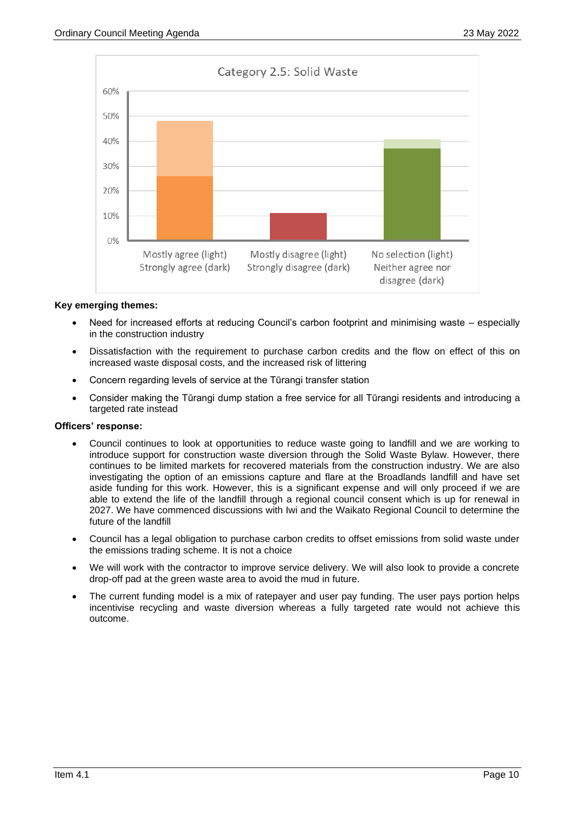

- Need for increased efforts at reducing Council's carbon footprint and minimising waste especially in the construction industry
- Dissatisfaction with the requirement to purchase carbon credits and the flow on effect of this on increased waste disposal costs, and the increased risk of littering
- Concern regarding levels of service at the Tūrangi transfer station
- Consider making the Tūrangi dump station a free service for all Tūrangi residents and introducing a targeted rate instead

- Council continues to look at opportunities to reduce waste going to landfill and we are working to introduce support for construction waste diversion through the Solid Waste Bylaw. However, there continues to be limited markets for recovered materials from the construction industry. We are also investigating the option of an emissions capture and flare at the Broadlands landfill and have set aside funding for this work. However, this is a significant expense and will only proceed if we are able to extend the life of the landfill through a regional council consent which is up for renewal in 2027. We have commenced discussions with Iwi and the Waikato Regional Council to determine the future of the landfill
- Council has a legal obligation to purchase carbon credits to offset emissions from solid waste under the emissions trading scheme. It is not a choice
- We will work with the contractor to improve service delivery. We will also look to provide a concrete drop-off pad at the green waste area to avoid the mud in future.
- The current funding model is a mix of ratepayer and user pay funding. The user pays portion helps incentivise recycling and waste diversion whereas a fully targeted rate would not achieve this outcome.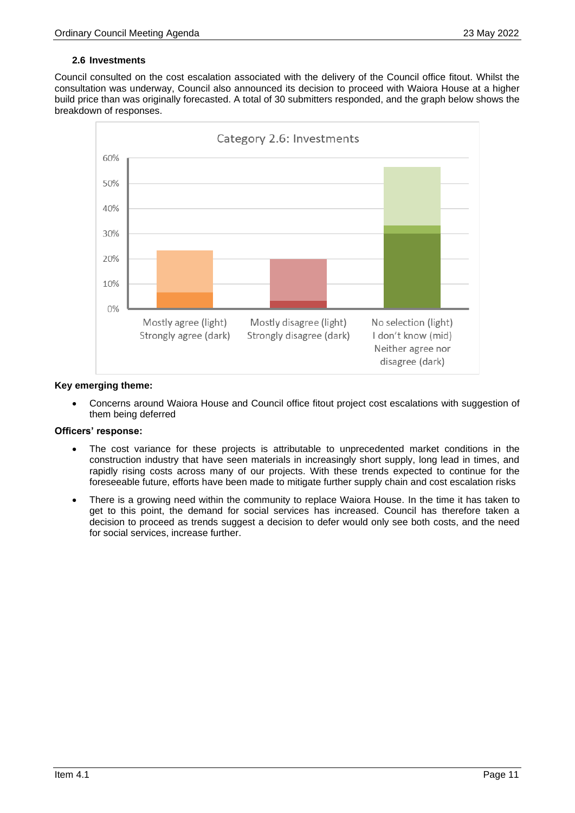#### **2.6 Investments**

Council consulted on the cost escalation associated with the delivery of the Council office fitout. Whilst the consultation was underway, Council also announced its decision to proceed with Waiora House at a higher build price than was originally forecasted. A total of 30 submitters responded, and the graph below shows the breakdown of responses.



#### **Key emerging theme:**

• Concerns around Waiora House and Council office fitout project cost escalations with suggestion of them being deferred

- The cost variance for these projects is attributable to unprecedented market conditions in the construction industry that have seen materials in increasingly short supply, long lead in times, and rapidly rising costs across many of our projects. With these trends expected to continue for the foreseeable future, efforts have been made to mitigate further supply chain and cost escalation risks
- There is a growing need within the community to replace Waiora House. In the time it has taken to get to this point, the demand for social services has increased. Council has therefore taken a decision to proceed as trends suggest a decision to defer would only see both costs, and the need for social services, increase further.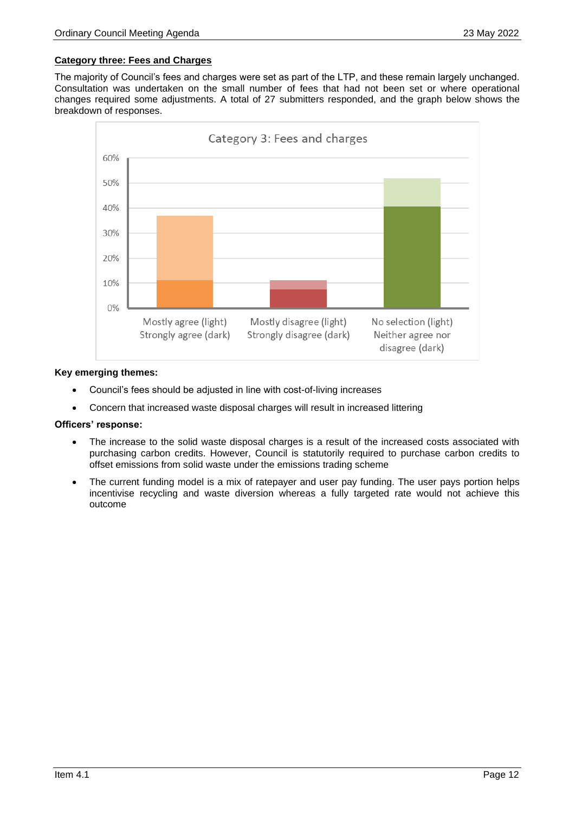## **Category three: Fees and Charges**

The majority of Council's fees and charges were set as part of the LTP, and these remain largely unchanged. Consultation was undertaken on the small number of fees that had not been set or where operational changes required some adjustments. A total of 27 submitters responded, and the graph below shows the breakdown of responses.



#### **Key emerging themes:**

- Council's fees should be adjusted in line with cost-of-living increases
- Concern that increased waste disposal charges will result in increased littering

- The increase to the solid waste disposal charges is a result of the increased costs associated with purchasing carbon credits. However, Council is statutorily required to purchase carbon credits to offset emissions from solid waste under the emissions trading scheme
- The current funding model is a mix of ratepayer and user pay funding. The user pays portion helps incentivise recycling and waste diversion whereas a fully targeted rate would not achieve this outcome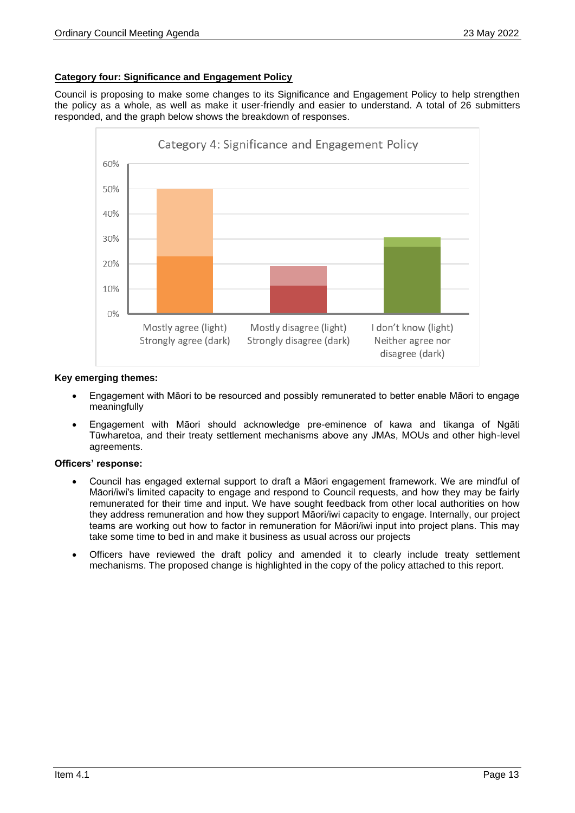# **Category four: Significance and Engagement Policy**

Council is proposing to make some changes to its Significance and Engagement Policy to help strengthen the policy as a whole, as well as make it user-friendly and easier to understand. A total of 26 submitters responded, and the graph below shows the breakdown of responses.



### **Key emerging themes:**

- Engagement with Māori to be resourced and possibly remunerated to better enable Māori to engage meaningfully
- Engagement with Māori should acknowledge pre-eminence of kawa and tikanga of Ngāti Tūwharetoa, and their treaty settlement mechanisms above any JMAs, MOUs and other high-level agreements.

- Council has engaged external support to draft a Māori engagement framework. We are mindful of Māori/iwi's limited capacity to engage and respond to Council requests, and how they may be fairly remunerated for their time and input. We have sought feedback from other local authorities on how they address remuneration and how they support Māori/iwi capacity to engage. Internally, our project teams are working out how to factor in remuneration for Māori/iwi input into project plans. This may take some time to bed in and make it business as usual across our projects
- Officers have reviewed the draft policy and amended it to clearly include treaty settlement mechanisms. The proposed change is highlighted in the copy of the policy attached to this report.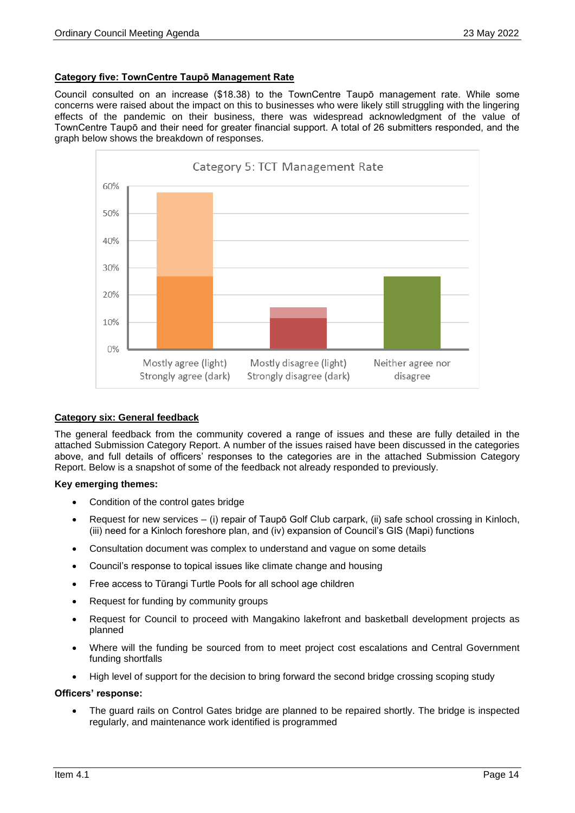# **Category five: TownCentre Taupō Management Rate**

Council consulted on an increase (\$18.38) to the TownCentre Taupō management rate. While some concerns were raised about the impact on this to businesses who were likely still struggling with the lingering effects of the pandemic on their business, there was widespread acknowledgment of the value of TownCentre Taupō and their need for greater financial support. A total of 26 submitters responded, and the graph below shows the breakdown of responses.



### **Category six: General feedback**

The general feedback from the community covered a range of issues and these are fully detailed in the attached Submission Category Report. A number of the issues raised have been discussed in the categories above, and full details of officers' responses to the categories are in the attached Submission Category Report. Below is a snapshot of some of the feedback not already responded to previously.

### **Key emerging themes:**

- Condition of the control gates bridge
- Request for new services (i) repair of Taupō Golf Club carpark, (ii) safe school crossing in Kinloch, (iii) need for a Kinloch foreshore plan, and (iv) expansion of Council's GIS (Mapi) functions
- Consultation document was complex to understand and vague on some details
- Council's response to topical issues like climate change and housing
- Free access to Tūrangi Turtle Pools for all school age children
- Request for funding by community groups
- Request for Council to proceed with Mangakino lakefront and basketball development projects as planned
- Where will the funding be sourced from to meet project cost escalations and Central Government funding shortfalls
- High level of support for the decision to bring forward the second bridge crossing scoping study

#### **Officers' response:**

• The guard rails on Control Gates bridge are planned to be repaired shortly. The bridge is inspected regularly, and maintenance work identified is programmed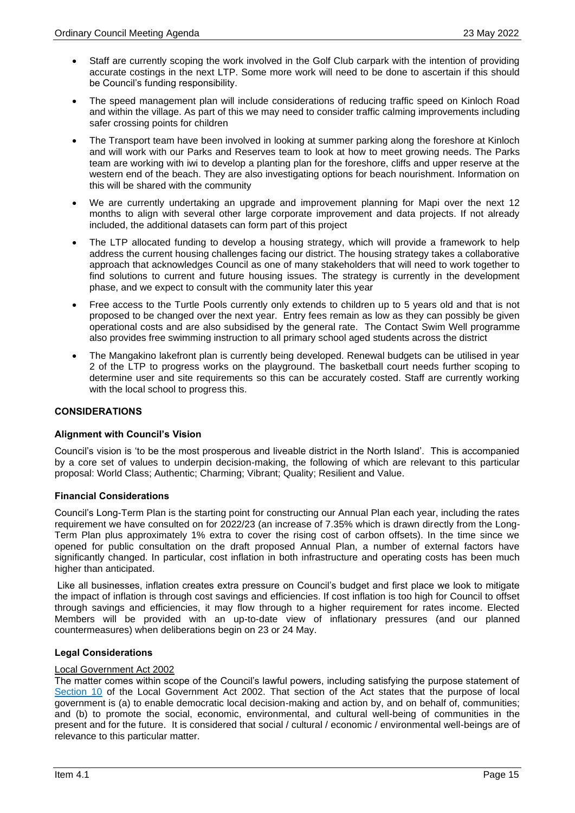- Staff are currently scoping the work involved in the Golf Club carpark with the intention of providing accurate costings in the next LTP. Some more work will need to be done to ascertain if this should be Council's funding responsibility.
- The speed management plan will include considerations of reducing traffic speed on Kinloch Road and within the village. As part of this we may need to consider traffic calming improvements including safer crossing points for children
- The Transport team have been involved in looking at summer parking along the foreshore at Kinloch and will work with our Parks and Reserves team to look at how to meet growing needs. The Parks team are working with iwi to develop a planting plan for the foreshore, cliffs and upper reserve at the western end of the beach. They are also investigating options for beach nourishment. Information on this will be shared with the community
- We are currently undertaking an upgrade and improvement planning for Mapi over the next 12 months to align with several other large corporate improvement and data projects. If not already included, the additional datasets can form part of this project
- The LTP allocated funding to develop a housing strategy, which will provide a framework to help address the current housing challenges facing our district. The housing strategy takes a collaborative approach that acknowledges Council as one of many stakeholders that will need to work together to find solutions to current and future housing issues. The strategy is currently in the development phase, and we expect to consult with the community later this year
- Free access to the Turtle Pools currently only extends to children up to 5 years old and that is not proposed to be changed over the next year. Entry fees remain as low as they can possibly be given operational costs and are also subsidised by the general rate. The Contact Swim Well programme also provides free swimming instruction to all primary school aged students across the district
- The Mangakino lakefront plan is currently being developed. Renewal budgets can be utilised in year 2 of the LTP to progress works on the playground. The basketball court needs further scoping to determine user and site requirements so this can be accurately costed. Staff are currently working with the local school to progress this.

### **CONSIDERATIONS**

### **Alignment with Council's Vision**

Council's vision is 'to be the most prosperous and liveable district in the North Island'. This is accompanied by a core set of values to underpin decision-making, the following of which are relevant to this particular proposal: World Class; Authentic; Charming; Vibrant; Quality; Resilient and Value.

### **Financial Considerations**

Council's Long-Term Plan is the starting point for constructing our Annual Plan each year, including the rates requirement we have consulted on for 2022/23 (an increase of 7.35% which is drawn directly from the Long-Term Plan plus approximately 1% extra to cover the rising cost of carbon offsets). In the time since we opened for public consultation on the draft proposed Annual Plan, a number of external factors have significantly changed. In particular, cost inflation in both infrastructure and operating costs has been much higher than anticipated.

Like all businesses, inflation creates extra pressure on Council's budget and first place we look to mitigate the impact of inflation is through cost savings and efficiencies. If cost inflation is too high for Council to offset through savings and efficiencies, it may flow through to a higher requirement for rates income. Elected Members will be provided with an up-to-date view of inflationary pressures (and our planned countermeasures) when deliberations begin on 23 or 24 May.

### **Legal Considerations**

### Local Government Act 2002

The matter comes within scope of the Council's lawful powers, including satisfying the purpose statement of [Section 10](http://www.legislation.govt.nz/act/public/2002/0084/latest/DLM171803.html?search=qs_act%40bill%40regulation%40deemedreg_local+government+act_resel_25_h&p=1) of the Local Government Act 2002. That section of the Act states that the purpose of local government is (a) to enable democratic local decision-making and action by, and on behalf of, communities; and (b) to promote the social, economic, environmental, and cultural well-being of communities in the present and for the future. It is considered that social / cultural / economic / environmental well-beings are of relevance to this particular matter.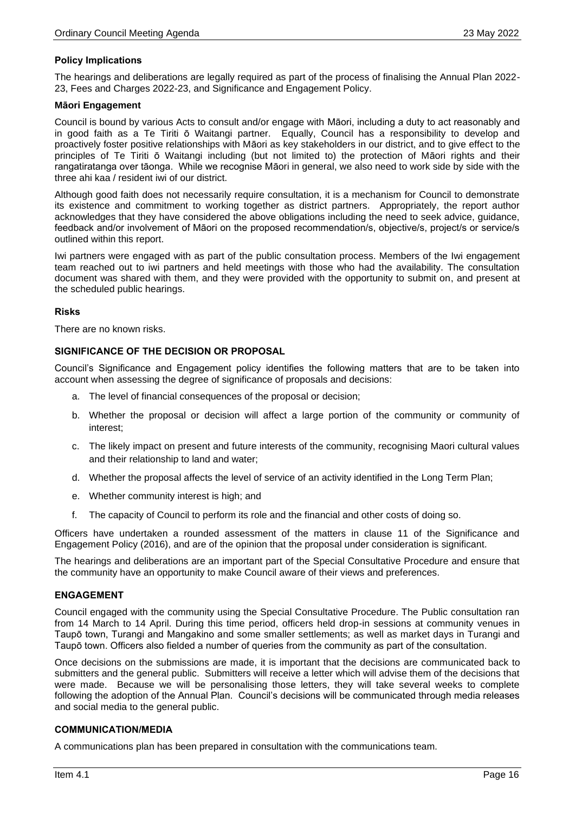#### **Policy Implications**

The hearings and deliberations are legally required as part of the process of finalising the Annual Plan 2022- 23, Fees and Charges 2022-23, and Significance and Engagement Policy.

#### **Māori Engagement**

Council is bound by various Acts to consult and/or engage with Māori, including a duty to act reasonably and in good faith as a Te Tiriti ō Waitangi partner. Equally, Council has a responsibility to develop and proactively foster positive relationships with Māori as key stakeholders in our district, and to give effect to the principles of Te Tiriti ō Waitangi including (but not limited to) the protection of Māori rights and their rangatiratanga over tāonga. While we recognise Māori in general, we also need to work side by side with the three ahi kaa / resident iwi of our district.

Although good faith does not necessarily require consultation, it is a mechanism for Council to demonstrate its existence and commitment to working together as district partners. Appropriately, the report author acknowledges that they have considered the above obligations including the need to seek advice, guidance, feedback and/or involvement of Māori on the proposed recommendation/s, objective/s, project/s or service/s outlined within this report.

Iwi partners were engaged with as part of the public consultation process. Members of the Iwi engagement team reached out to iwi partners and held meetings with those who had the availability. The consultation document was shared with them, and they were provided with the opportunity to submit on, and present at the scheduled public hearings.

#### **Risks**

There are no known risks.

# **SIGNIFICANCE OF THE DECISION OR PROPOSAL**

Council's Significance and Engagement policy identifies the following matters that are to be taken into account when assessing the degree of significance of proposals and decisions:

- a. The level of financial consequences of the proposal or decision;
- b. Whether the proposal or decision will affect a large portion of the community or community of interest;
- c. The likely impact on present and future interests of the community, recognising Maori cultural values and their relationship to land and water;
- d. Whether the proposal affects the level of service of an activity identified in the Long Term Plan;
- e. Whether community interest is high; and
- f. The capacity of Council to perform its role and the financial and other costs of doing so.

Officers have undertaken a rounded assessment of the matters in clause 11 of the Significance and Engagement Policy (2016), and are of the opinion that the proposal under consideration is significant.

The hearings and deliberations are an important part of the Special Consultative Procedure and ensure that the community have an opportunity to make Council aware of their views and preferences.

### **ENGAGEMENT**

Council engaged with the community using the Special Consultative Procedure. The Public consultation ran from 14 March to 14 April. During this time period, officers held drop-in sessions at community venues in Taupō town, Turangi and Mangakino and some smaller settlements; as well as market days in Turangi and Taupō town. Officers also fielded a number of queries from the community as part of the consultation.

Once decisions on the submissions are made, it is important that the decisions are communicated back to submitters and the general public. Submitters will receive a letter which will advise them of the decisions that were made. Because we will be personalising those letters, they will take several weeks to complete following the adoption of the Annual Plan. Council's decisions will be communicated through media releases and social media to the general public.

### **COMMUNICATION/MEDIA**

A communications plan has been prepared in consultation with the communications team.